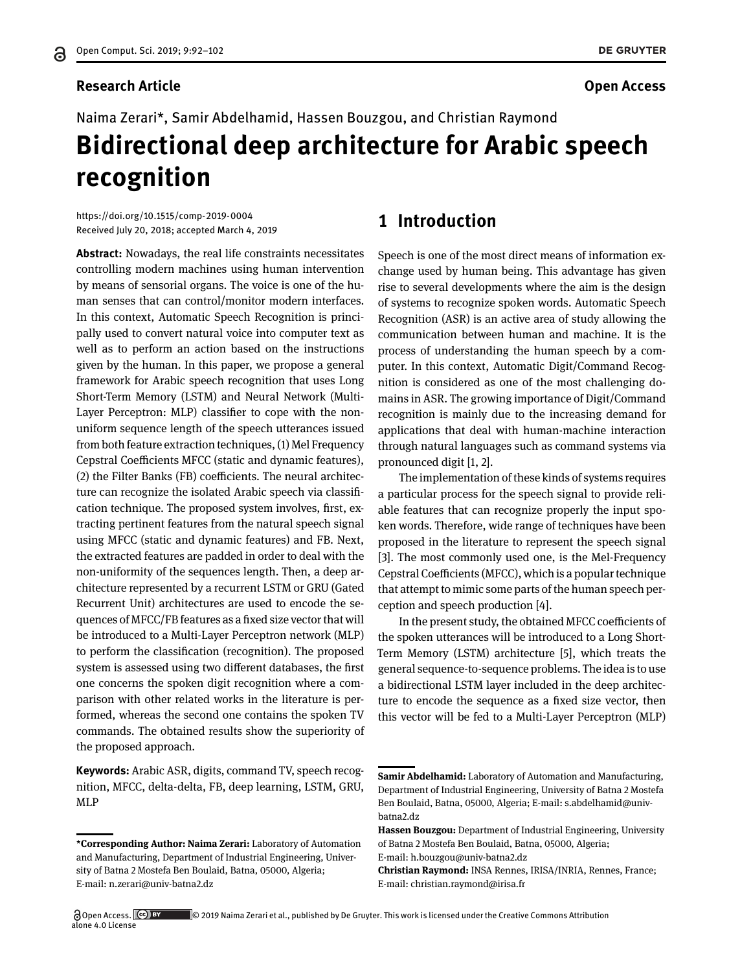#### **Research Article Open Access**

# Naima Zerari\*, Samir Abdelhamid, Hassen Bouzgou, and Christian Raymond **Bidirectional deep architecture for Arabic speech recognition**

<https://doi.org/10.1515/comp-2019-0004> Received July 20, 2018; accepted March 4, 2019

**Abstract:** Nowadays, the real life constraints necessitates controlling modern machines using human intervention by means of sensorial organs. The voice is one of the human senses that can control/monitor modern interfaces. In this context, Automatic Speech Recognition is principally used to convert natural voice into computer text as well as to perform an action based on the instructions given by the human. In this paper, we propose a general framework for Arabic speech recognition that uses Long Short-Term Memory (LSTM) and Neural Network (Multi-Layer Perceptron: MLP) classifier to cope with the nonuniform sequence length of the speech utterances issued from both feature extraction techniques, (1) Mel Frequency Cepstral Coefficients MFCC (static and dynamic features), (2) the Filter Banks (FB) coefficients. The neural architecture can recognize the isolated Arabic speech via classification technique. The proposed system involves, first, extracting pertinent features from the natural speech signal using MFCC (static and dynamic features) and FB. Next, the extracted features are padded in order to deal with the non-uniformity of the sequences length. Then, a deep architecture represented by a recurrent LSTM or GRU (Gated Recurrent Unit) architectures are used to encode the sequences of MFCC/FB features as a fixed size vector that will be introduced to a Multi-Layer Perceptron network (MLP) to perform the classification (recognition). The proposed system is assessed using two different databases, the first one concerns the spoken digit recognition where a comparison with other related works in the literature is performed, whereas the second one contains the spoken TV commands. The obtained results show the superiority of the proposed approach.

**Keywords:** Arabic ASR, digits, command TV, speech recognition, MFCC, delta-delta, FB, deep learning, LSTM, GRU, MLP

# **1 Introduction**

Speech is one of the most direct means of information exchange used by human being. This advantage has given rise to several developments where the aim is the design of systems to recognize spoken words. Automatic Speech Recognition (ASR) is an active area of study allowing the communication between human and machine. It is the process of understanding the human speech by a computer. In this context, Automatic Digit/Command Recognition is considered as one of the most challenging domains in ASR. The growing importance of Digit/Command recognition is mainly due to the increasing demand for applications that deal with human-machine interaction through natural languages such as command systems via pronounced digit [\[1,](#page-9-0) [2\]](#page-9-1).

The implementation of these kinds of systems requires a particular process for the speech signal to provide reliable features that can recognize properly the input spoken words. Therefore, wide range of techniques have been proposed in the literature to represent the speech signal [\[3\]](#page-9-2). The most commonly used one, is the Mel-Frequency Cepstral Coefficients (MFCC), which is a popular technique that attempt to mimic some parts of the human speech perception and speech production [\[4\]](#page-9-3).

In the present study, the obtained MFCC coefficients of the spoken utterances will be introduced to a Long Short-Term Memory (LSTM) architecture [\[5\]](#page-9-4), which treats the general sequence-to-sequence problems. The idea is to use a bidirectional LSTM layer included in the deep architecture to encode the sequence as a fixed size vector, then this vector will be fed to a Multi-Layer Perceptron (MLP)

E-mail: h.bouzgou@univ-batna2.dz

**<sup>\*</sup>Corresponding Author: Naima Zerari:** Laboratory of Automation and Manufacturing, Department of Industrial Engineering, University of Batna 2 Mostefa Ben Boulaid, Batna, 05000, Algeria; E-mail: n.zerari@univ-batna2.dz

**Samir Abdelhamid:** Laboratory of Automation and Manufacturing, Department of Industrial Engineering, University of Batna 2 Mostefa Ben Boulaid, Batna, 05000, Algeria; E-mail: s.abdelhamid@univbatna2.dz

**Hassen Bouzgou:** Department of Industrial Engineering, University of Batna 2 Mostefa Ben Boulaid, Batna, 05000, Algeria;

**Christian Raymond:** INSA Rennes, IRISA/INRIA, Rennes, France; E-mail: christian.raymond@irisa.fr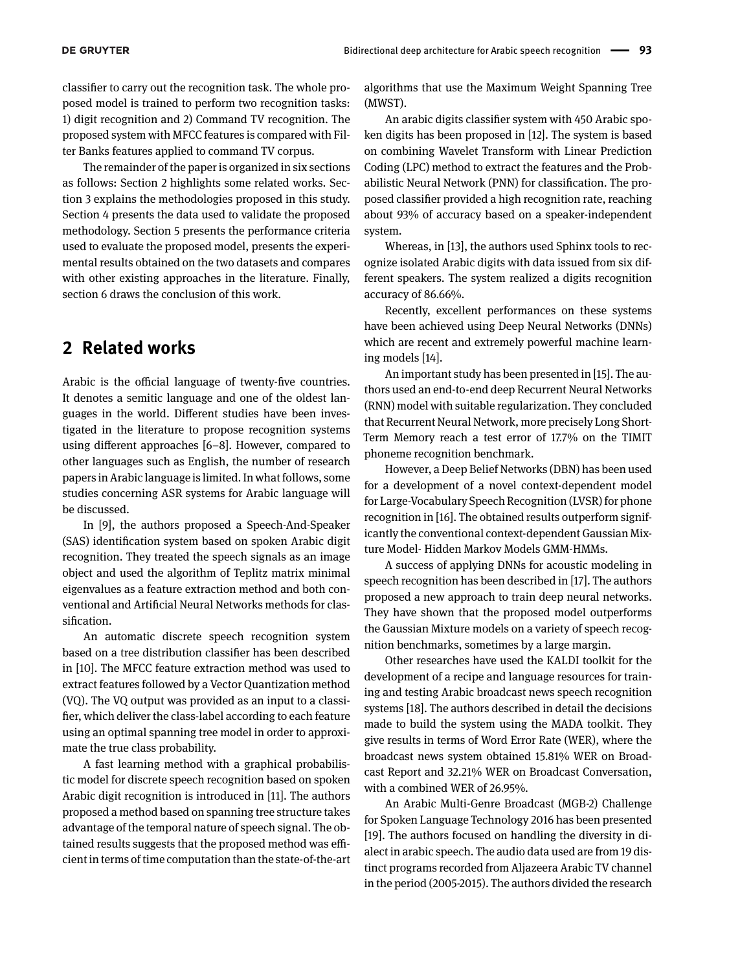classifier to carry out the recognition task. The whole proposed model is trained to perform two recognition tasks: 1) digit recognition and 2) Command TV recognition. The proposed system with MFCC features is compared with Filter Banks features applied to command TV corpus.

The remainder of the paper is organized in six sections as follows: Section [2](#page-1-0) highlights some related works. Section [3](#page-2-0) explains the methodologies proposed in this study. Section [4](#page-4-0) presents the data used to validate the proposed methodology. Section [5](#page-5-0) presents the performance criteria used to evaluate the proposed model, presents the experimental results obtained on the two datasets and compares with other existing approaches in the literature. Finally, section [6](#page-8-0) draws the conclusion of this work.

# <span id="page-1-0"></span>**2 Related works**

Arabic is the official language of twenty-five countries. It denotes a semitic language and one of the oldest languages in the world. Different studies have been investigated in the literature to propose recognition systems using different approaches [\[6](#page-9-5)[–8\]](#page-9-6). However, compared to other languages such as English, the number of research papers in Arabic language is limited. In what follows, some studies concerning ASR systems for Arabic language will be discussed.

In [\[9\]](#page-9-7), the authors proposed a Speech-And-Speaker (SAS) identification system based on spoken Arabic digit recognition. They treated the speech signals as an image object and used the algorithm of Teplitz matrix minimal eigenvalues as a feature extraction method and both conventional and Artificial Neural Networks methods for classification.

An automatic discrete speech recognition system based on a tree distribution classifier has been described in [\[10\]](#page-9-8). The MFCC feature extraction method was used to extract features followed by a Vector Quantization method (VQ). The VQ output was provided as an input to a classifier, which deliver the class-label according to each feature using an optimal spanning tree model in order to approximate the true class probability.

A fast learning method with a graphical probabilistic model for discrete speech recognition based on spoken Arabic digit recognition is introduced in [\[11\]](#page-9-9). The authors proposed a method based on spanning tree structure takes advantage of the temporal nature of speech signal. The obtained results suggests that the proposed method was efficient in terms of time computation than the state-of-the-art algorithms that use the Maximum Weight Spanning Tree (MWST).

An arabic digits classifier system with 450 Arabic spoken digits has been proposed in [\[12\]](#page-9-10). The system is based on combining Wavelet Transform with Linear Prediction Coding (LPC) method to extract the features and the Probabilistic Neural Network (PNN) for classification. The proposed classifier provided a high recognition rate, reaching about 93% of accuracy based on a speaker-independent system.

Whereas, in [\[13\]](#page-9-11), the authors used Sphinx tools to recognize isolated Arabic digits with data issued from six different speakers. The system realized a digits recognition accuracy of 86.66%.

Recently, excellent performances on these systems have been achieved using Deep Neural Networks (DNNs) which are recent and extremely powerful machine learning models [\[14\]](#page-9-12).

An important study has been presented in [\[15\]](#page-9-13). The authors used an end-to-end deep Recurrent Neural Networks (RNN) model with suitable regularization. They concluded that Recurrent Neural Network, more precisely Long Short-Term Memory reach a test error of 17.7% on the TIMIT phoneme recognition benchmark.

However, a Deep Belief Networks (DBN) has been used for a development of a novel context-dependent model for Large-Vocabulary Speech Recognition (LVSR) for phone recognition in [\[16\]](#page-9-14). The obtained results outperform significantly the conventional context-dependent Gaussian Mixture Model- Hidden Markov Models GMM-HMMs.

A success of applying DNNs for acoustic modeling in speech recognition has been described in [\[17\]](#page-9-15). The authors proposed a new approach to train deep neural networks. They have shown that the proposed model outperforms the Gaussian Mixture models on a variety of speech recognition benchmarks, sometimes by a large margin.

Other researches have used the KALDI toolkit for the development of a recipe and language resources for training and testing Arabic broadcast news speech recognition systems [\[18\]](#page-9-16). The authors described in detail the decisions made to build the system using the MADA toolkit. They give results in terms of Word Error Rate (WER), where the broadcast news system obtained 15.81% WER on Broadcast Report and 32.21% WER on Broadcast Conversation, with a combined WER of 26.95%.

An Arabic Multi-Genre Broadcast (MGB-2) Challenge for Spoken Language Technology 2016 has been presented [\[19\]](#page-9-17). The authors focused on handling the diversity in dialect in arabic speech. The audio data used are from 19 distinct programs recorded from Aljazeera Arabic TV channel in the period (2005-2015). The authors divided the research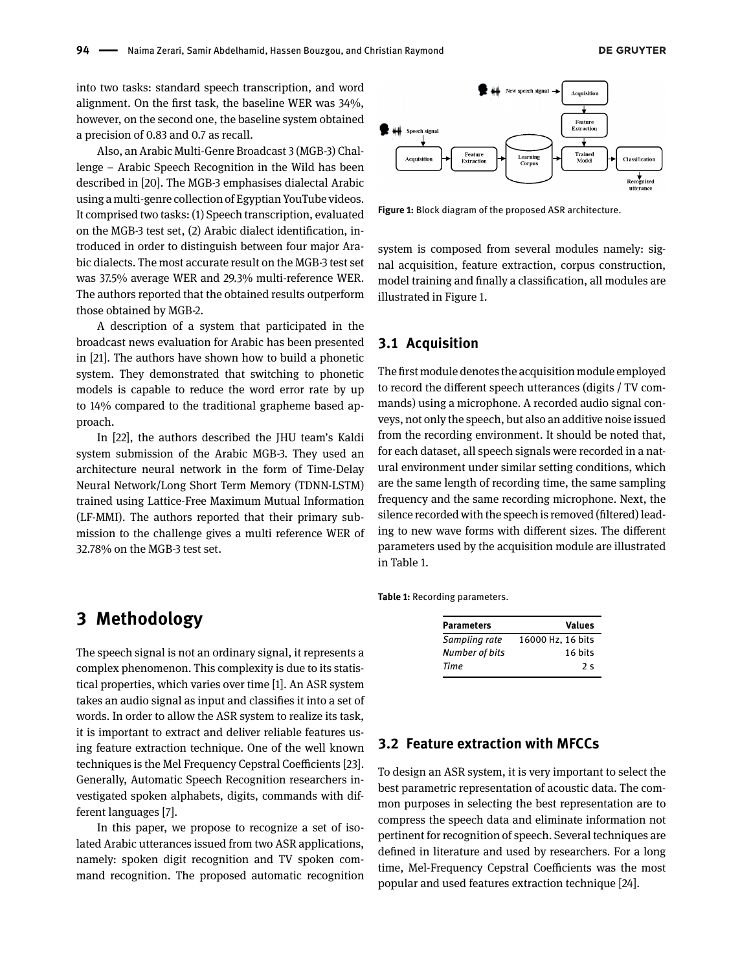into two tasks: standard speech transcription, and word alignment. On the first task, the baseline WER was 34%, however, on the second one, the baseline system obtained a precision of 0.83 and 0.7 as recall.

Also, an Arabic Multi-Genre Broadcast 3 (MGB-3) Challenge – Arabic Speech Recognition in the Wild has been described in [\[20\]](#page-9-18). The MGB-3 emphasises dialectal Arabic using a multi-genre collection of Egyptian YouTube videos. It comprised two tasks: (1) Speech transcription, evaluated on the MGB-3 test set, (2) Arabic dialect identification, introduced in order to distinguish between four major Arabic dialects. The most accurate result on the MGB-3 test set was 37.5% average WER and 29.3% multi-reference WER. The authors reported that the obtained results outperform those obtained by MGB-2.

A description of a system that participated in the broadcast news evaluation for Arabic has been presented in [\[21\]](#page-9-19). The authors have shown how to build a phonetic system. They demonstrated that switching to phonetic models is capable to reduce the word error rate by up to 14% compared to the traditional grapheme based approach.

In [\[22\]](#page-9-20), the authors described the JHU team's Kaldi system submission of the Arabic MGB-3. They used an architecture neural network in the form of Time-Delay Neural Network/Long Short Term Memory (TDNN-LSTM) trained using Lattice-Free Maximum Mutual Information (LF-MMI). The authors reported that their primary submission to the challenge gives a multi reference WER of 32.78% on the MGB-3 test set.

# <span id="page-2-0"></span>**3 Methodology**

The speech signal is not an ordinary signal, it represents a complex phenomenon. This complexity is due to its statistical properties, which varies over time [\[1\]](#page-9-0). An ASR system takes an audio signal as input and classifies it into a set of words. In order to allow the ASR system to realize its task, it is important to extract and deliver reliable features using feature extraction technique. One of the well known techniques is the Mel Frequency Cepstral Coefficients [\[23\]](#page-9-21). Generally, Automatic Speech Recognition researchers investigated spoken alphabets, digits, commands with different languages [\[7\]](#page-9-22).

In this paper, we propose to recognize a set of isolated Arabic utterances issued from two ASR applications, namely: spoken digit recognition and TV spoken command recognition. The proposed automatic recognition

<span id="page-2-1"></span>

**Figure 1:** Block diagram of the proposed ASR architecture.

system is composed from several modules namely: signal acquisition, feature extraction, corpus construction, model training and finally a classification, all modules are illustrated in Figure [1.](#page-2-1)

#### **3.1 Acquisition**

The first module denotes the acquisition module employed to record the different speech utterances (digits / TV commands) using a microphone. A recorded audio signal conveys, not only the speech, but also an additive noise issued from the recording environment. It should be noted that, for each dataset, all speech signals were recorded in a natural environment under similar setting conditions, which are the same length of recording time, the same sampling frequency and the same recording microphone. Next, the silence recorded with the speech is removed (filtered) leading to new wave forms with different sizes. The different parameters used by the acquisition module are illustrated in Table [1.](#page-2-2)

<span id="page-2-2"></span>**Table 1:** Recording parameters.

| <b>Parameters</b> | <b>Values</b>     |
|-------------------|-------------------|
| Sampling rate     | 16000 Hz, 16 bits |
| Number of bits    | 16 bits           |
| Time              | 2s                |

#### **3.2 Feature extraction with MFCCs**

To design an ASR system, it is very important to select the best parametric representation of acoustic data. The common purposes in selecting the best representation are to compress the speech data and eliminate information not pertinent for recognition of speech. Several techniques are defined in literature and used by researchers. For a long time, Mel-Frequency Cepstral Coefficients was the most popular and used features extraction technique [\[24\]](#page-9-23).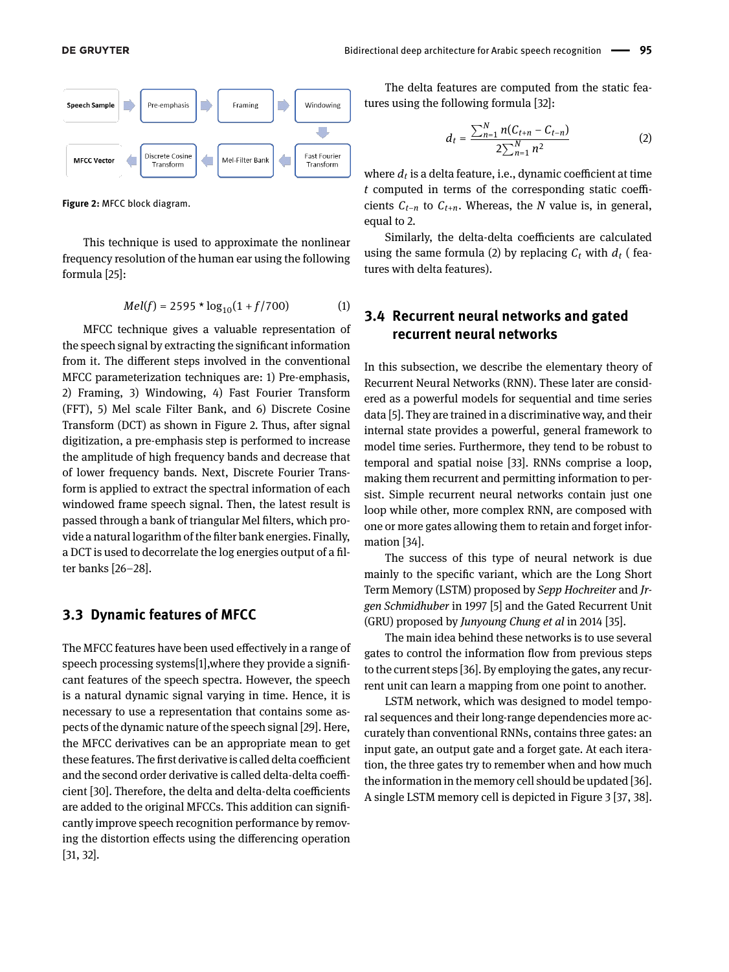<span id="page-3-0"></span>

**Figure 2:** MFCC block diagram.

This technique is used to approximate the nonlinear frequency resolution of the human ear using the following formula [\[25\]](#page-9-24):

$$
Mel(f) = 2595 * log_{10}(1 + f/700)
$$
 (1)

MFCC technique gives a valuable representation of the speech signal by extracting the significant information from it. The different steps involved in the conventional MFCC parameterization techniques are: 1) Pre-emphasis, 2) Framing, 3) Windowing, 4) Fast Fourier Transform (FFT), 5) Mel scale Filter Bank, and 6) Discrete Cosine Transform (DCT) as shown in Figure [2.](#page-3-0) Thus, after signal digitization, a pre-emphasis step is performed to increase the amplitude of high frequency bands and decrease that of lower frequency bands. Next, Discrete Fourier Transform is applied to extract the spectral information of each windowed frame speech signal. Then, the latest result is passed through a bank of triangular Mel filters, which provide a natural logarithm of the filter bank energies. Finally, a DCT is used to decorrelate the log energies output of a filter banks [\[26](#page-9-25)[–28\]](#page-10-1).

#### **3.3 Dynamic features of MFCC**

The MFCC features have been used effectively in a range of speech processing systems[\[1\]](#page-9-0),where they provide a significant features of the speech spectra. However, the speech is a natural dynamic signal varying in time. Hence, it is necessary to use a representation that contains some aspects of the dynamic nature of the speech signal [\[29\]](#page-10-2). Here, the MFCC derivatives can be an appropriate mean to get these features. The first derivative is called delta coefficient and the second order derivative is called delta-delta coefficient [\[30\]](#page-10-3). Therefore, the delta and delta-delta coefficients are added to the original MFCCs. This addition can significantly improve speech recognition performance by removing the distortion effects using the differencing operation [\[31,](#page-10-4) [32\]](#page-10-5).

The delta features are computed from the static features using the following formula [\[32\]](#page-10-5):

<span id="page-3-1"></span>
$$
d_t = \frac{\sum_{n=1}^{N} n(C_{t+n} - C_{t-n})}{2\sum_{n=1}^{N} n^2}
$$
 (2)

where *d<sup>t</sup>* is a delta feature, i.e., dynamic coefficient at time *t* computed in terms of the corresponding static coefficients *Ct*−*<sup>n</sup>* to *Ct*+*n*. Whereas, the *N* value is, in general, equal to 2.

Similarly, the delta-delta coefficients are calculated using the same formula [\(2\)](#page-3-1) by replacing  $C_t$  with  $d_t$  (features with delta features).

#### **3.4 Recurrent neural networks and gated recurrent neural networks**

In this subsection, we describe the elementary theory of Recurrent Neural Networks (RNN). These later are considered as a powerful models for sequential and time series data [\[5\]](#page-9-4). They are trained in a discriminative way, and their internal state provides a powerful, general framework to model time series. Furthermore, they tend to be robust to temporal and spatial noise [\[33\]](#page-10-6). RNNs comprise a loop, making them recurrent and permitting information to persist. Simple recurrent neural networks contain just one loop while other, more complex RNN, are composed with one or more gates allowing them to retain and forget information [\[34\]](#page-10-7).

The success of this type of neural network is due mainly to the specific variant, which are the Long Short Term Memory (LSTM) proposed by *Sepp Hochreiter* and *Jrgen Schmidhuber* in 1997 [\[5\]](#page-9-4) and the Gated Recurrent Unit (GRU) proposed by *Junyoung Chung et al* in 2014 [\[35\]](#page-10-8).

The main idea behind these networks is to use several gates to control the information flow from previous steps to the current steps [\[36\]](#page-10-9). By employing the gates, any recurrent unit can learn a mapping from one point to another.

LSTM network, which was designed to model temporal sequences and their long-range dependencies more accurately than conventional RNNs, contains three gates: an input gate, an output gate and a forget gate. At each iteration, the three gates try to remember when and how much the information in the memory cell should be updated [\[36\]](#page-10-9). A single LSTM memory cell is depicted in Figure [3](#page-4-1) [\[37,](#page-10-10) [38\]](#page-10-11).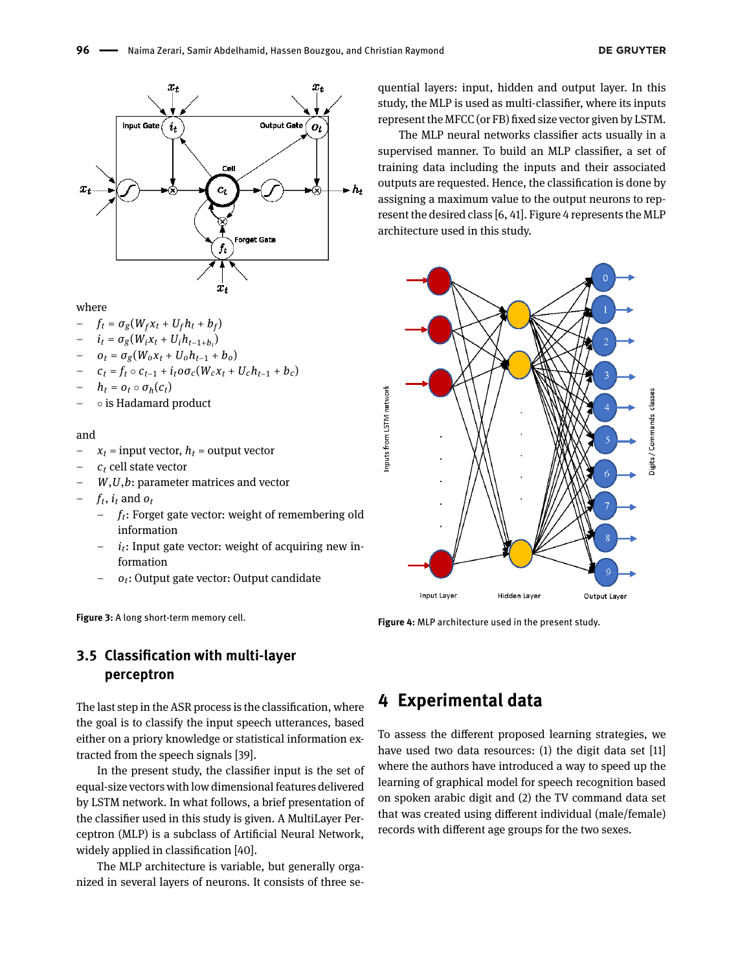<span id="page-4-1"></span>

where

- $f_t = \sigma_g(W_f x_t + U_f h_t + b_f)$
- $i_t = \sigma_g(W_i x_t + U_i h_{t-1+b_i})$
- $o_t = \sigma_g(W_o x_t + U_o h_{t-1} + b_o)$
- $-$  *c*<sub>t</sub> = *f*<sub>t</sub> *c*<sub>*t*−1</sub> + *i*<sub>t</sub> $\omega \sigma_c(W_c x_t + U_c h_{t-1} + b_c)$
- $-$  *h*<sub>t</sub> = *o*<sub>t</sub> *σ*<sub>*h*</sub>(*c*<sub>*t*</sub>)
- ∘ is Hadamard product

#### and

- $x_t$  = input vector,  $h_t$  = output vector
- *c<sup>t</sup>* cell state vector
	- *W*,*U*,*b*: parameter matrices and vector
- $f_t$ ,  $i_t$  and  $o_t$ 
	- *ft*: Forget gate vector: weight of remembering old information
	- *it*: Input gate vector: weight of acquiring new information
	- *ot*: Output gate vector: Output candidate

**Figure 3:** A long short-term memory cell.

quential layers: input, hidden and output layer. In this study, the MLP is used as multi-classifier, where its inputs represent the MFCC (or FB) fixed size vector given by LSTM.

The MLP neural networks classifier acts usually in a supervised manner. To build an MLP classifier, a set of training data including the inputs and their associated outputs are requested. Hence, the classification is done by assigning a maximum value to the output neurons to represent the desired class [\[6,](#page-9-5) [41\]](#page-10-14). Figure [4](#page-4-2) represents the MLP architecture used in this study.

<span id="page-4-2"></span>

**Figure 4:** MLP architecture used in the present study.

### **3.5 Classification with multi-layer perceptron**

The last step in the ASR process is the classification, where the goal is to classify the input speech utterances, based either on a priory knowledge or statistical information extracted from the speech signals [\[39\]](#page-10-12).

In the present study, the classifier input is the set of equal-size vectors with low dimensional features delivered by LSTM network. In what follows, a brief presentation of the classifier used in this study is given. A MultiLayer Perceptron (MLP) is a subclass of Artificial Neural Network, widely applied in classification [\[40\]](#page-10-13).

The MLP architecture is variable, but generally organized in several layers of neurons. It consists of three se-

# <span id="page-4-0"></span>**4 Experimental data**

To assess the different proposed learning strategies, we have used two data resources: (1) the digit data set [\[11\]](#page-9-9) where the authors have introduced a way to speed up the learning of graphical model for speech recognition based on spoken arabic digit and (2) the TV command data set that was created using different individual (male/female) records with different age groups for the two sexes.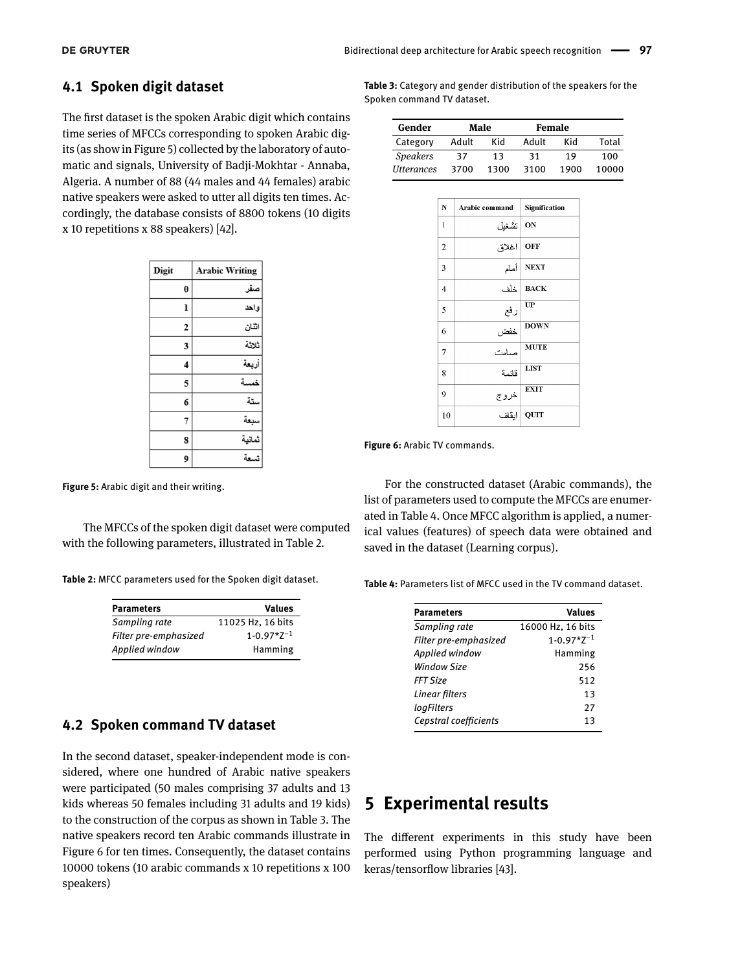#### **4.1 Spoken digit dataset**

The first dataset is the spoken Arabic digit which contains time series of MFCCs corresponding to spoken Arabic digits (as show in Figure [5\)](#page-5-1) collected by the laboratory of automatic and signals, University of Badji-Mokhtar - Annaba, Algeria. A number of 88 (44 males and 44 females) arabic native speakers were asked to utter all digits ten times. Accordingly, the database consists of 8800 tokens (10 digits x 10 repetitions x 88 speakers) [\[42\]](#page-10-15).

<span id="page-5-1"></span>

| Digit          | <b>Arabic Writing</b> |
|----------------|-----------------------|
| $\bf{0}$       | صفر                   |
| ı              | واحد                  |
| $\overline{2}$ | اثنان                 |
| 3              | ثلاثة                 |
| 4              | أربعة                 |
| 5              | خمسة                  |
| 6              | ستة                   |
| 7              | سبعة                  |
| S              | ثماتية                |
| 9              | تسعة                  |

**Figure 5:** Arabic digit and their writing.

The MFCCs of the spoken digit dataset were computed with the following parameters, illustrated in Table [2.](#page-5-2)

<span id="page-5-2"></span>**Table 2:** MFCC parameters used for the Spoken digit dataset.

| <b>Parameters</b>     | <b>Values</b>            |
|-----------------------|--------------------------|
| Sampling rate         | 11025 Hz, 16 bits        |
| Filter pre-emphasized | $1 - 0.97 \times Z^{-1}$ |
| Applied window        | Hamming                  |

#### **4.2 Spoken command TV dataset**

In the second dataset, speaker-independent mode is considered, where one hundred of Arabic native speakers were participated (50 males comprising 37 adults and 13 kids whereas 50 females including 31 adults and 19 kids) to the construction of the corpus as shown in Table [3.](#page-5-3) The native speakers record ten Arabic commands illustrate in Figure [6](#page-5-4) for ten times. Consequently, the dataset contains 10000 tokens (10 arabic commands x 10 repetitions x 100 speakers)

<span id="page-5-3"></span>**Table 3:** Category and gender distribution of the speakers for the Spoken command TV dataset.

| Gender            |       | Male |       | Female |       |
|-------------------|-------|------|-------|--------|-------|
| Category          | Adult | Kid  | Adult | Kid    | Total |
| <b>Speakers</b>   | 37    | 13   | 31    | 19     | 100   |
| <b>Utterances</b> | 3700  | 1300 | 3100  | 1900   | 10000 |

<span id="page-5-4"></span>

| N              | Arabic command | Signification |
|----------------|----------------|---------------|
| 1              | تشغيل          | ON            |
| $\overline{c}$ | اغلاق          | OFF           |
| 3              | أمام           | <b>NEXT</b>   |
| $\overline{4}$ | خاف            | <b>BACK</b>   |
| 5              | رفع            | UP            |
| 6              | خفض            | <b>DOWN</b>   |
| 7              | صامت           | <b>MUTE</b>   |
| 8              | قائمة          | <b>LIST</b>   |
| 9              | خروج           | <b>EXIT</b>   |
| 10             | ابقاف          | <b>QUIT</b>   |

**Figure 6:** Arabic TV commands.

For the constructed dataset (Arabic commands), the list of parameters used to compute the MFCCs are enumerated in Table [4.](#page-5-5) Once MFCC algorithm is applied, a numerical values (features) of speech data were obtained and saved in the dataset (Learning corpus).

<span id="page-5-5"></span>**Table 4:** Parameters list of MFCC used in the TV command dataset.

| <b>Parameters</b>     | Values                   |
|-----------------------|--------------------------|
| Sampling rate         | 16000 Hz, 16 bits        |
| Filter pre-emphasized | $1 - 0.97 \times Z^{-1}$ |
| Applied window        | Hamming                  |
| <b>Window Size</b>    | 256                      |
| <b>FFT Size</b>       | 512                      |
| Linear filters        | 13                       |
| logFilters            | 27                       |
| Cepstral coefficients | 13                       |

# <span id="page-5-0"></span>**5 Experimental results**

The different experiments in this study have been performed using Python programming language and keras/tensorflow libraries [\[43\]](#page-10-16).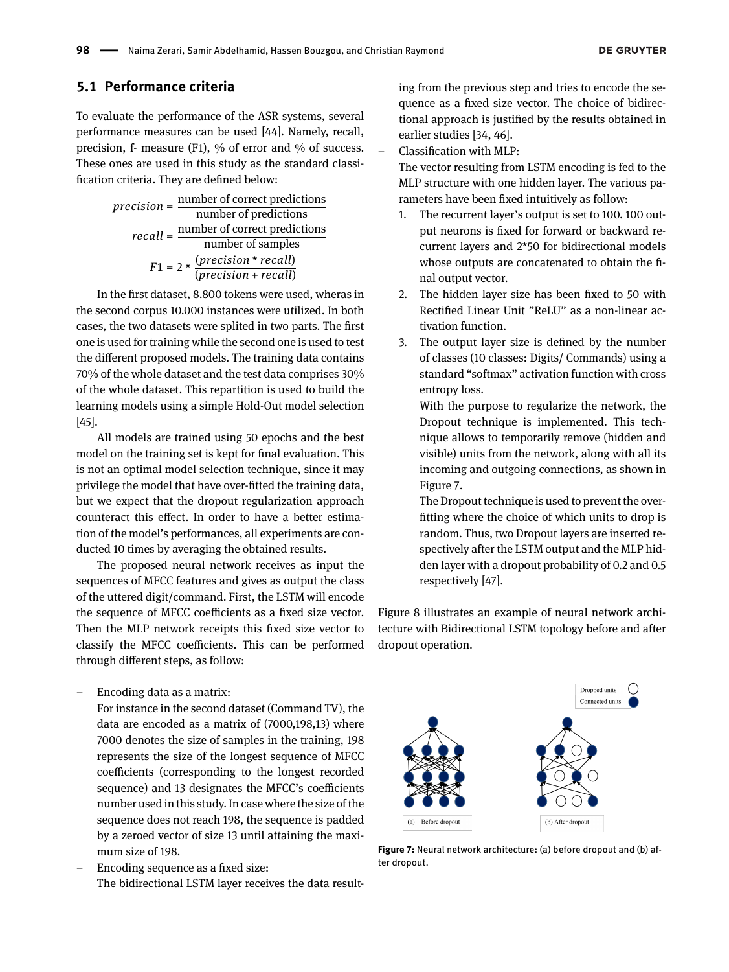#### **5.1 Performance criteria**

To evaluate the performance of the ASR systems, several performance measures can be used [\[44\]](#page-10-17). Namely, recall, precision, f- measure (F1), % of error and % of success. These ones are used in this study as the standard classification criteria. They are defined below:

*precision* = 
$$
\frac{\text{number of correct predictions}}{\text{number of predictions}}
$$
  
*recall* = 
$$
\frac{\text{number of correct predictions}}{\text{number of samples}}
$$
  

$$
F1 = 2 \times \frac{(precision * recall)}{(precision + recall)}
$$

In the first dataset, 8.800 tokens were used, wheras in the second corpus 10.000 instances were utilized. In both cases, the two datasets were splited in two parts. The first one is used for training while the second one is used to test the different proposed models. The training data contains 70% of the whole dataset and the test data comprises 30% of the whole dataset. This repartition is used to build the learning models using a simple Hold-Out model selection [\[45\]](#page-10-18).

All models are trained using 50 epochs and the best model on the training set is kept for final evaluation. This is not an optimal model selection technique, since it may privilege the model that have over-fitted the training data, but we expect that the dropout regularization approach counteract this effect. In order to have a better estimation of the model's performances, all experiments are conducted 10 times by averaging the obtained results.

The proposed neural network receives as input the sequences of MFCC features and gives as output the class of the uttered digit/command. First, the LSTM will encode the sequence of MFCC coefficients as a fixed size vector. Then the MLP network receipts this fixed size vector to classify the MFCC coefficients. This can be performed through different steps, as follow:

– Encoding data as a matrix:

For instance in the second dataset (Command TV), the data are encoded as a matrix of (7000,198,13) where 7000 denotes the size of samples in the training, 198 represents the size of the longest sequence of MFCC coefficients (corresponding to the longest recorded sequence) and 13 designates the MFCC's coefficients number used in this study. In case where the size of the sequence does not reach 198, the sequence is padded by a zeroed vector of size 13 until attaining the maximum size of 198.

– Encoding sequence as a fixed size: The bidirectional LSTM layer receives the data resulting from the previous step and tries to encode the sequence as a fixed size vector. The choice of bidirectional approach is justified by the results obtained in earlier studies [\[34,](#page-10-7) [46\]](#page-10-19).

– Classification with MLP:

The vector resulting from LSTM encoding is fed to the MLP structure with one hidden layer. The various parameters have been fixed intuitively as follow:

- 1. The recurrent layer's output is set to 100. 100 output neurons is fixed for forward or backward recurrent layers and 2\*50 for bidirectional models whose outputs are concatenated to obtain the final output vector.
- 2. The hidden layer size has been fixed to 50 with Rectified Linear Unit "ReLU" as a non-linear activation function.
- 3. The output layer size is defined by the number of classes (10 classes: Digits/ Commands) using a standard "softmax" activation function with cross entropy loss.

With the purpose to regularize the network, the Dropout technique is implemented. This technique allows to temporarily remove (hidden and visible) units from the network, along with all its incoming and outgoing connections, as shown in Figure [7.](#page-6-0)

The Dropout technique is used to prevent the overfitting where the choice of which units to drop is random. Thus, two Dropout layers are inserted respectively after the LSTM output and the MLP hidden layer with a dropout probability of 0.2 and 0.5 respectively [\[47\]](#page-10-20).

Figure [8](#page-7-0) illustrates an example of neural network architecture with Bidirectional LSTM topology before and after dropout operation.

<span id="page-6-0"></span>

**Figure 7:** Neural network architecture: (a) before dropout and (b) after dropout.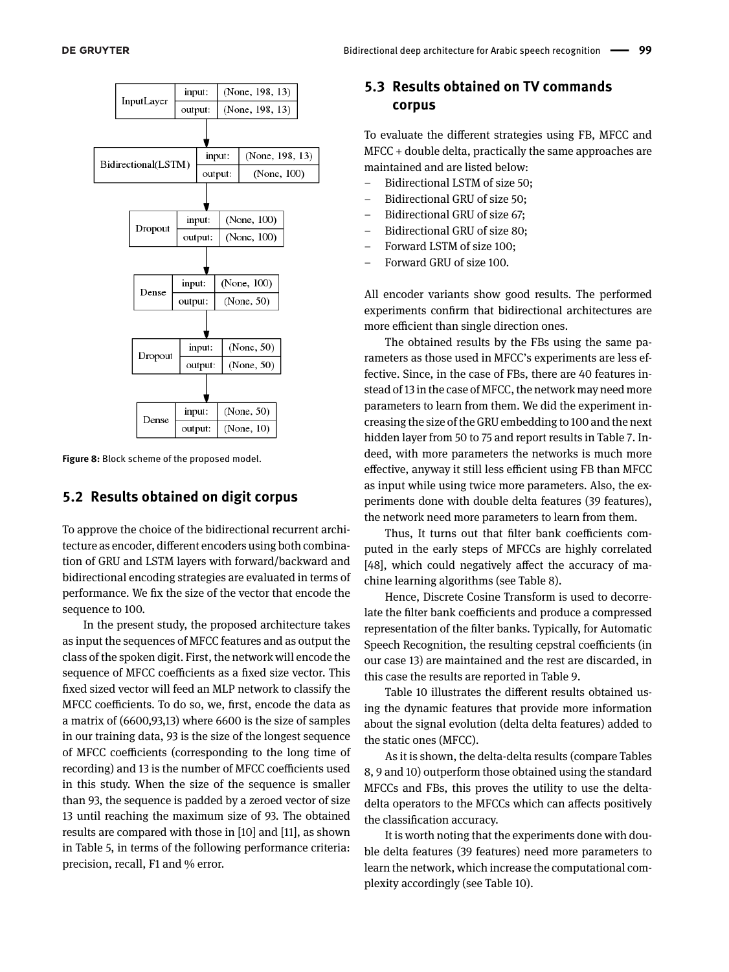<span id="page-7-0"></span>

**Figure 8:** Block scheme of the proposed model.

#### **5.2 Results obtained on digit corpus**

To approve the choice of the bidirectional recurrent architecture as encoder, different encoders using both combination of GRU and LSTM layers with forward/backward and bidirectional encoding strategies are evaluated in terms of performance. We fix the size of the vector that encode the sequence to 100.

In the present study, the proposed architecture takes as input the sequences of MFCC features and as output the class of the spoken digit. First, the network will encode the sequence of MFCC coefficients as a fixed size vector. This fixed sized vector will feed an MLP network to classify the MFCC coefficients. To do so, we, first, encode the data as a matrix of (6600,93,13) where 6600 is the size of samples in our training data, 93 is the size of the longest sequence of MFCC coefficients (corresponding to the long time of recording) and 13 is the number of MFCC coefficients used in this study. When the size of the sequence is smaller than 93, the sequence is padded by a zeroed vector of size 13 until reaching the maximum size of 93. The obtained results are compared with those in [\[10\]](#page-9-8) and [\[11\]](#page-9-9), as shown in Table 5, in terms of the following performance criteria: precision, recall, F1 and % error.

#### **5.3 Results obtained on TV commands corpus**

To evaluate the different strategies using FB, MFCC and MFCC + double delta, practically the same approaches are maintained and are listed below:

- Bidirectional LSTM of size 50;
- Bidirectional GRU of size 50;
- Bidirectional GRU of size 67;
- Bidirectional GRU of size 80;
- Forward LSTM of size 100;
- Forward GRU of size 100.

All encoder variants show good results. The performed experiments confirm that bidirectional architectures are more efficient than single direction ones.

The obtained results by the FBs using the same parameters as those used in MFCC's experiments are less effective. Since, in the case of FBs, there are 40 features instead of 13 in the case of MFCC, the network may need more parameters to learn from them. We did the experiment increasing the size of the GRU embedding to 100 and the next hidden layer from 50 to 75 and report results in Table [7.](#page-8-1) Indeed, with more parameters the networks is much more effective, anyway it still less efficient using FB than MFCC as input while using twice more parameters. Also, the experiments done with double delta features (39 features), the network need more parameters to learn from them.

Thus, It turns out that filter bank coefficients computed in the early steps of MFCCs are highly correlated [\[48\]](#page-10-21), which could negatively affect the accuracy of machine learning algorithms (see Table [8\)](#page-8-2).

Hence, Discrete Cosine Transform is used to decorrelate the filter bank coefficients and produce a compressed representation of the filter banks. Typically, for Automatic Speech Recognition, the resulting cepstral coefficients (in our case 13) are maintained and the rest are discarded, in this case the results are reported in Table [9.](#page-8-3)

Table [10](#page-8-4) illustrates the different results obtained using the dynamic features that provide more information about the signal evolution (delta delta features) added to the static ones (MFCC).

As it is shown, the delta-delta results (compare Tables [8,](#page-8-2) [9](#page-8-3) and [10\)](#page-8-4) outperform those obtained using the standard MFCCs and FBs, this proves the utility to use the deltadelta operators to the MFCCs which can affects positively the classification accuracy.

It is worth noting that the experiments done with double delta features (39 features) need more parameters to learn the network, which increase the computational complexity accordingly (see Table [10\)](#page-8-4).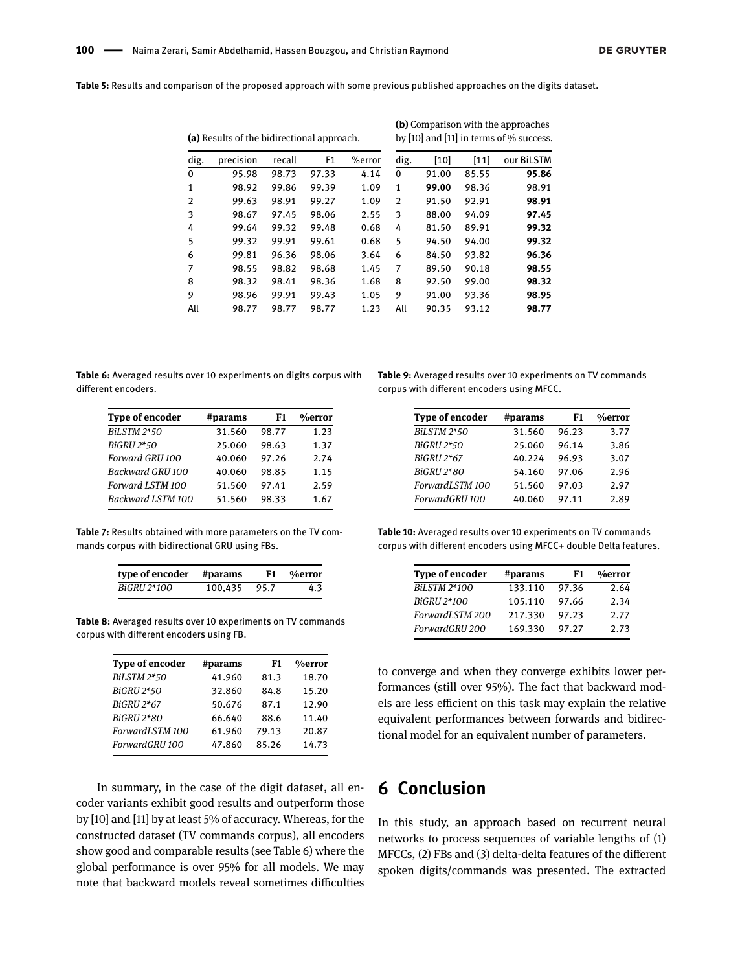**Table 5:** Results and comparison of the proposed approach with some previous published approaches on the digits dataset.

|      | (a) Results of the bidirectional approach. |        |                |        |                |       |       | <b>(b)</b> Comparison with the approaches<br>by [10] and [11] in terms of $%$ success. |
|------|--------------------------------------------|--------|----------------|--------|----------------|-------|-------|----------------------------------------------------------------------------------------|
| dig. | precision                                  | recall | F <sub>1</sub> | %error | dig.           | [10]  | [11]  | our BiLSTM                                                                             |
| 0    | 95.98                                      | 98.73  | 97.33          | 4.14   | $\Omega$       | 91.00 | 85.55 | 95.86                                                                                  |
| 1    | 98.92                                      | 99.86  | 99.39          | 1.09   | 1              | 99.00 | 98.36 | 98.91                                                                                  |
| 2    | 99.63                                      | 98.91  | 99.27          | 1.09   | $\overline{2}$ | 91.50 | 92.91 | 98.91                                                                                  |
| 3    | 98.67                                      | 97.45  | 98.06          | 2.55   | 3              | 88.00 | 94.09 | 97.45                                                                                  |
| 4    | 99.64                                      | 99.32  | 99.48          | 0.68   | 4              | 81.50 | 89.91 | 99.32                                                                                  |
| 5    | 99.32                                      | 99.91  | 99.61          | 0.68   | 5              | 94.50 | 94.00 | 99.32                                                                                  |
| 6    | 99.81                                      | 96.36  | 98.06          | 3.64   | 6              | 84.50 | 93.82 | 96.36                                                                                  |
| 7    | 98.55                                      | 98.82  | 98.68          | 1.45   | 7              | 89.50 | 90.18 | 98.55                                                                                  |
| 8    | 98.32                                      | 98.41  | 98.36          | 1.68   | 8              | 92.50 | 99.00 | 98.32                                                                                  |
| 9    | 98.96                                      | 99.91  | 99.43          | 1.05   | 9              | 91.00 | 93.36 | 98.95                                                                                  |
| All  | 98.77                                      | 98.77  | 98.77          | 1.23   | All            | 90.35 | 93.12 | 98.77                                                                                  |

<span id="page-8-5"></span>**Table 6:** Averaged results over 10 experiments on digits corpus with different encoders.

| <b>Type of encoder</b> | #params | F1    | %error |
|------------------------|---------|-------|--------|
| <b>BiLSTM 2*50</b>     | 31.560  | 98.77 | 1.23   |
| <b>BiGRU 2*50</b>      | 25.060  | 98.63 | 1.37   |
| Forward GRU 100        | 40.060  | 97.26 | 2.74   |
| Backward GRU 100       | 40.060  | 98.85 | 1.15   |
| Forward LSTM 100       | 51.560  | 97.41 | 2.59   |
| Backward LSTM 100      | 51.560  | 98.33 | 1.67   |

<span id="page-8-1"></span>**Table 7:** Results obtained with more parameters on the TV commands corpus with bidirectional GRU using FBs.

| type of encoder #params |              | F1 %error |
|-------------------------|--------------|-----------|
| BiGRU 2*100             | 100.435 95.7 | 4.3       |

<span id="page-8-2"></span>**Table 8:** Averaged results over 10 experiments on TV commands corpus with different encoders using FB.

| <b>Type of encoder</b> | #params | F1    | %error |
|------------------------|---------|-------|--------|
| <b>BiLSTM 2*50</b>     | 41.960  | 81.3  | 18.70  |
| <b>BiGRU 2*50</b>      | 32.860  | 84.8  | 15.20  |
| BiGRU 2*67             | 50.676  | 87.1  | 12.90  |
| <b>BiGRU 2*80</b>      | 66.640  | 88.6  | 11.40  |
| ForwardLSTM 100        | 61.960  | 79.13 | 20.87  |
| ForwardGRU 100         | 47.860  | 85.26 | 14.73  |

In summary, in the case of the digit dataset, all encoder variants exhibit good results and outperform those by [\[10\]](#page-9-8) and [\[11\]](#page-9-9) by at least 5% of accuracy. Whereas, for the constructed dataset (TV commands corpus), all encoders show good and comparable results (see Table [6\)](#page-8-5) where the global performance is over 95% for all models. We may note that backward models reveal sometimes difficulties

<span id="page-8-3"></span>**Table 9:** Averaged results over 10 experiments on TV commands corpus with different encoders using MFCC.

| <b>Type of encoder</b> | #params | F1    | %error |
|------------------------|---------|-------|--------|
| <b>BiLSTM 2*50</b>     | 31.560  | 96.23 | 3.77   |
| <b>BiGRU 2*50</b>      | 25.060  | 96.14 | 3.86   |
| BiGRU 2*67             | 40.224  | 96.93 | 3.07   |
| BiGRU 2*80             | 54.160  | 97.06 | 2.96   |
| ForwardLSTM 100        | 51.560  | 97.03 | 2.97   |
| ForwardGRU 100         | 40.060  | 97.11 | 2.89   |

<span id="page-8-4"></span>**Table 10:** Averaged results over 10 experiments on TV commands corpus with different encoders using MFCC+ double Delta features.

| <b>Type of encoder</b> | #params | F1    | %error |
|------------------------|---------|-------|--------|
| BiLSTM 2*100           | 133.110 | 97.36 | 2.64   |
| BiGRU 2*100            | 105.110 | 97.66 | 2.34   |
| ForwardLSTM 200        | 217.330 | 97.23 | 2.77   |
| ForwardGRU 200         | 169.330 | 97.27 | 2.73   |

to converge and when they converge exhibits lower performances (still over 95%). The fact that backward models are less efficient on this task may explain the relative equivalent performances between forwards and bidirectional model for an equivalent number of parameters.

# <span id="page-8-0"></span>**6 Conclusion**

In this study, an approach based on recurrent neural networks to process sequences of variable lengths of (1) MFCCs, (2) FBs and (3) delta-delta features of the different spoken digits/commands was presented. The extracted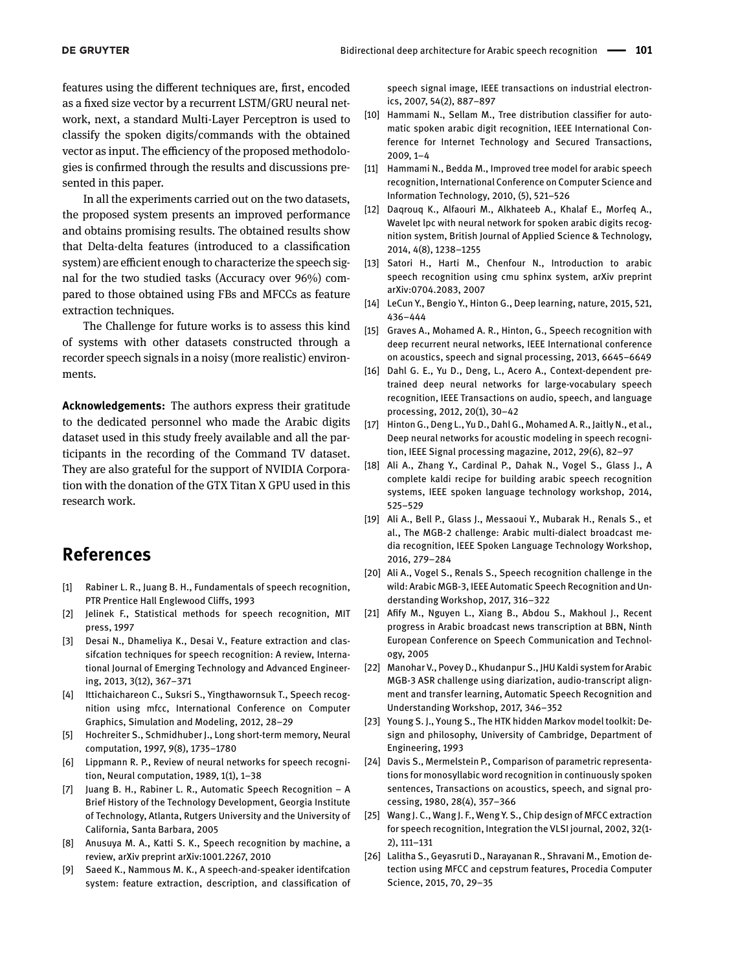features using the different techniques are, first, encoded as a fixed size vector by a recurrent LSTM/GRU neural network, next, a standard Multi-Layer Perceptron is used to classify the spoken digits/commands with the obtained vector as input. The efficiency of the proposed methodologies is confirmed through the results and discussions presented in this paper.

In all the experiments carried out on the two datasets, the proposed system presents an improved performance and obtains promising results. The obtained results show that Delta-delta features (introduced to a classification system) are efficient enough to characterize the speech signal for the two studied tasks (Accuracy over 96%) compared to those obtained using FBs and MFCCs as feature extraction techniques.

The Challenge for future works is to assess this kind of systems with other datasets constructed through a recorder speech signals in a noisy (more realistic) environments.

**Acknowledgements:** The authors express their gratitude to the dedicated personnel who made the Arabic digits dataset used in this study freely available and all the participants in the recording of the Command TV dataset. They are also grateful for the support of NVIDIA Corporation with the donation of the GTX Titan X GPU used in this research work.

# **References**

- <span id="page-9-0"></span>[1] Rabiner L. R., Juang B. H., Fundamentals of speech recognition, PTR Prentice Hall Englewood Cliffs, 1993
- <span id="page-9-1"></span>[2] Jelinek F., Statistical methods for speech recognition, MIT press, 1997
- <span id="page-9-2"></span>[3] Desai N., Dhameliya K., Desai V., Feature extraction and classifcation techniques for speech recognition: A review, International Journal of Emerging Technology and Advanced Engineering, 2013, 3(12), 367–371
- <span id="page-9-3"></span>[4] Ittichaichareon C., Suksri S., Yingthawornsuk T., Speech recognition using mfcc, International Conference on Computer Graphics, Simulation and Modeling, 2012, 28–29
- <span id="page-9-4"></span>[5] Hochreiter S., Schmidhuber J., Long short-term memory, Neural computation, 1997, 9(8), 1735–1780
- <span id="page-9-5"></span>[6] Lippmann R. P., Review of neural networks for speech recognition, Neural computation, 1989, 1(1), 1–38
- <span id="page-9-22"></span>[7] Juang B. H., Rabiner L. R., Automatic Speech Recognition – A Brief History of the Technology Development, Georgia Institute of Technology, Atlanta, Rutgers University and the University of California, Santa Barbara, 2005
- <span id="page-9-6"></span>[8] Anusuya M. A., Katti S. K., Speech recognition by machine, a review, arXiv preprint arXiv:1001.2267, 2010
- <span id="page-9-7"></span>[9] Saeed K., Nammous M. K., A speech-and-speaker identifcation system: feature extraction, description, and classification of

speech signal image, IEEE transactions on industrial electronics, 2007, 54(2), 887–897

- <span id="page-9-8"></span>[10] Hammami N., Sellam M., Tree distribution classifier for automatic spoken arabic digit recognition, IEEE International Conference for Internet Technology and Secured Transactions, 2009, 1–4
- <span id="page-9-9"></span>[11] Hammami N., Bedda M., Improved tree model for arabic speech recognition, International Conference on Computer Science and Information Technology, 2010, (5), 521–526
- <span id="page-9-10"></span>[12] Daqrouq K., Alfaouri M., Alkhateeb A., Khalaf E., Morfeq A., Wavelet lpc with neural network for spoken arabic digits recognition system, British Journal of Applied Science & Technology, 2014, 4(8), 1238–1255
- <span id="page-9-11"></span>[13] Satori H., Harti M., Chenfour N., Introduction to arabic speech recognition using cmu sphinx system, arXiv preprint arXiv:0704.2083, 2007
- <span id="page-9-12"></span>[14] LeCun Y., Bengio Y., Hinton G., Deep learning, nature, 2015, 521, 436–444
- <span id="page-9-13"></span>[15] Graves A., Mohamed A. R., Hinton, G., Speech recognition with deep recurrent neural networks, IEEE International conference on acoustics, speech and signal processing, 2013, 6645–6649
- <span id="page-9-14"></span>[16] Dahl G. E., Yu D., Deng, L., Acero A., Context-dependent pretrained deep neural networks for large-vocabulary speech recognition, IEEE Transactions on audio, speech, and language processing, 2012, 20(1), 30–42
- <span id="page-9-15"></span>[17] Hinton G., Deng L., Yu D., Dahl G., Mohamed A. R., Jaitly N., et al., Deep neural networks for acoustic modeling in speech recognition, IEEE Signal processing magazine, 2012, 29(6), 82–97
- <span id="page-9-16"></span>[18] Ali A., Zhang Y., Cardinal P., Dahak N., Vogel S., Glass J., A complete kaldi recipe for building arabic speech recognition systems, IEEE spoken language technology workshop, 2014, 525–529
- <span id="page-9-17"></span>[19] Ali A., Bell P., Glass J., Messaoui Y., Mubarak H., Renals S., et al., The MGB-2 challenge: Arabic multi-dialect broadcast media recognition, IEEE Spoken Language Technology Workshop, 2016, 279–284
- <span id="page-9-18"></span>[20] Ali A., Vogel S., Renals S., Speech recognition challenge in the wild: Arabic MGB-3, IEEE Automatic Speech Recognition and Understanding Workshop, 2017, 316–322
- <span id="page-9-19"></span>[21] Afify M., Nguyen L., Xiang B., Abdou S., Makhoul J., Recent progress in Arabic broadcast news transcription at BBN, Ninth European Conference on Speech Communication and Technology, 2005
- <span id="page-9-20"></span>[22] Manohar V., Povey D., Khudanpur S., JHU Kaldi system for Arabic MGB-3 ASR challenge using diarization, audio-transcript alignment and transfer learning, Automatic Speech Recognition and Understanding Workshop, 2017, 346–352
- <span id="page-9-21"></span>[23] Young S. J., Young S., The HTK hidden Markov model toolkit: Design and philosophy, University of Cambridge, Department of Engineering, 1993
- <span id="page-9-23"></span>[24] Davis S., Mermelstein P., Comparison of parametric representations for monosyllabic word recognition in continuously spoken sentences, Transactions on acoustics, speech, and signal processing, 1980, 28(4), 357–366
- <span id="page-9-24"></span>[25] Wang J. C., Wang J. F., Weng Y. S., Chip design of MFCC extraction for speech recognition, Integration the VLSI journal, 2002, 32(1- 2), 111–131
- <span id="page-9-25"></span>[26] Lalitha S., Geyasruti D., Narayanan R., Shravani M., Emotion detection using MFCC and cepstrum features, Procedia Computer Science, 2015, 70, 29–35